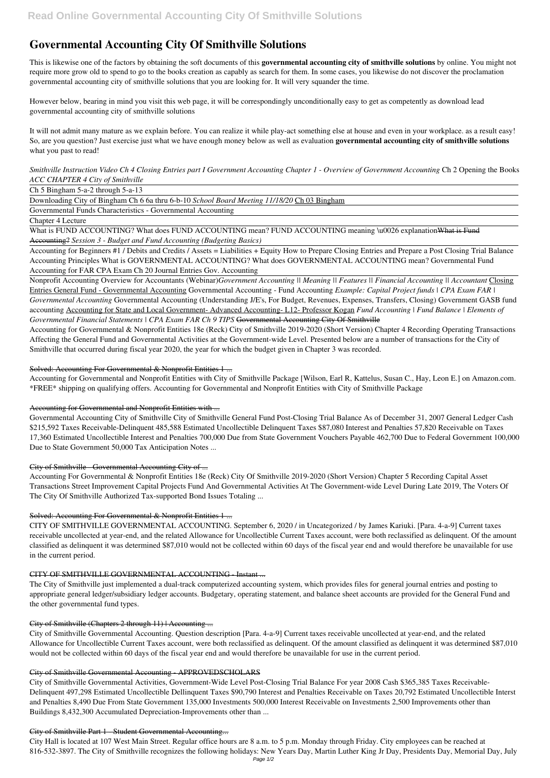# **Governmental Accounting City Of Smithville Solutions**

This is likewise one of the factors by obtaining the soft documents of this **governmental accounting city of smithville solutions** by online. You might not require more grow old to spend to go to the books creation as capably as search for them. In some cases, you likewise do not discover the proclamation governmental accounting city of smithville solutions that you are looking for. It will very squander the time.

However below, bearing in mind you visit this web page, it will be correspondingly unconditionally easy to get as competently as download lead governmental accounting city of smithville solutions

What is FUND ACCOUNTING? What does FUND ACCOUNTING mean? FUND ACCOUNTING meaning \u0026 explanationWhat is Fund Accounting? *Session 3 - Budget and Fund Accounting (Budgeting Basics)*

It will not admit many mature as we explain before. You can realize it while play-act something else at house and even in your workplace. as a result easy! So, are you question? Just exercise just what we have enough money below as well as evaluation **governmental accounting city of smithville solutions** what you past to read!

*Smithville Instruction Video Ch 4 Closing Entries part I Government Accounting Chapter 1 - Overview of Government Accounting* Ch 2 Opening the Books *ACC CHAPTER 4 City of Smithville*

Ch 5 Bingham 5-a-2 through 5-a-13

Downloading City of Bingham Ch 6 6a thru 6-b-10 *School Board Meeting 11/18/20* Ch 03 Bingham

Governmental Funds Characteristics - Governmental Accounting

Chapter 4 Lecture

Accounting for Beginners #1 / Debits and Credits / Assets = Liabilities + Equity How to Prepare Closing Entries and Prepare a Post Closing Trial Balance Accounting Principles What is GOVERNMENTAL ACCOUNTING? What does GOVERNMENTAL ACCOUNTING mean? Governmental Fund Accounting for FAR CPA Exam Ch 20 Journal Entries Gov. Accounting

Nonprofit Accounting Overview for Accountants (Webinar)*Government Accounting || Meaning || Features || Financial Accounting || Accountant* Closing Entries General Fund - Governmental Accounting Governmental Accounting - Fund Accounting *Example: Capital Project funds | CPA Exam FAR | Governmental Accounting* Governmental Accounting (Understanding J/E's, For Budget, Revenues, Expenses, Transfers, Closing) Government GASB fund accounting Accounting for State and Local Government- Advanced Accounting- L12- Professor Kogan *Fund Accounting | Fund Balance | Elements of Governmental Financial Statements | CPA Exam FAR Ch 9 TIPS* Governmental Accounting City Of Smithville

Accounting for Governmental & Nonprofit Entities 18e (Reck) City of Smithville 2019-2020 (Short Version) Chapter 4 Recording Operating Transactions Affecting the General Fund and Governmental Activities at the Government-wide Level. Presented below are a number of transactions for the City of Smithville that occurred during fiscal year 2020, the year for which the budget given in Chapter 3 was recorded.

### Solved: Accounting For Governmental & Nonprofit Entities 1 ...

Accounting for Governmental and Nonprofit Entities with City of Smithville Package [Wilson, Earl R, Kattelus, Susan C., Hay, Leon E.] on Amazon.com. \*FREE\* shipping on qualifying offers. Accounting for Governmental and Nonprofit Entities with City of Smithville Package

### Accounting for Governmental and Nonprofit Entities with ...

Governmental Accounting City of Smithville City of Smithville General Fund Post-Closing Trial Balance As of December 31, 2007 General Ledger Cash \$215,592 Taxes Receivable-Delinquent 485,588 Estimated Uncollectible Delinquent Taxes \$87,080 Interest and Penalties 57,820 Receivable on Taxes 17,360 Estimated Uncollectible Interest and Penalties 700,000 Due from State Government Vouchers Payable 462,700 Due to Federal Government 100,000 Due to State Government 50,000 Tax Anticipation Notes ...

#### City of Smithville - Governmental Accounting City of ...

Accounting For Governmental & Nonprofit Entities 18e (Reck) City Of Smithville 2019-2020 (Short Version) Chapter 5 Recording Capital Asset Transactions Street Improvement Capital Projects Fund And Governmental Activities At The Government-wide Level During Late 2019, The Voters Of The City Of Smithville Authorized Tax-supported Bond Issues Totaling ...

### Solved: Accounting For Governmental & Nonprofit Entities 1 ...

CITY OF SMITHVILLE GOVERNMENTAL ACCOUNTING. September 6, 2020 / in Uncategorized / by James Kariuki. [Para. 4-a-9] Current taxes receivable uncollected at year-end, and the related Allowance for Uncollectible Current Taxes account, were both reclassified as delinquent. Of the amount classified as delinquent it was determined \$87,010 would not be collected within 60 days of the fiscal year end and would therefore be unavailable for use in the current period.

### CITY OF SMITHVILLE GOVERNMENTAL ACCOUNTING - Instant ...

The City of Smithville just implemented a dual-track computerized accounting system, which provides files for general journal entries and posting to

appropriate general ledger/subsidiary ledger accounts. Budgetary, operating statement, and balance sheet accounts are provided for the General Fund and the other governmental fund types.

#### City of Smithville (Chapters 2 through 11) | Accounting ...

City of Smithville Governmental Accounting. Question description [Para. 4-a-9] Current taxes receivable uncollected at year-end, and the related Allowance for Uncollectible Current Taxes account, were both reclassified as delinquent. Of the amount classified as delinquent it was determined \$87,010 would not be collected within 60 days of the fiscal year end and would therefore be unavailable for use in the current period.

#### City of Smithville Governmental Accounting - APPROVEDSCHOLARS

City of Smithville Governmental Activities, Government-Wide Level Post-Closing Trial Balance For year 2008 Cash \$365,385 Taxes Receivable-Delinquent 497,298 Estimated Uncollectible Dellinquent Taxes \$90,790 Interest and Penalties Receivable on Taxes 20,792 Estimated Uncollectible Interst and Penalties 8,490 Due From State Government 135,000 Investments 500,000 Interest Receivable on Investments 2,500 Improvements other than Buildings 8,432,300 Accumulated Depreciation-Improvements other than ...

#### City of Smithville Part 1 - Student Governmental Accounting...

City Hall is located at 107 West Main Street. Regular office hours are 8 a.m. to 5 p.m. Monday through Friday. City employees can be reached at 816-532-3897. The City of Smithville recognizes the following holidays: New Years Day, Martin Luther King Jr Day, Presidents Day, Memorial Day, July Page 1/2